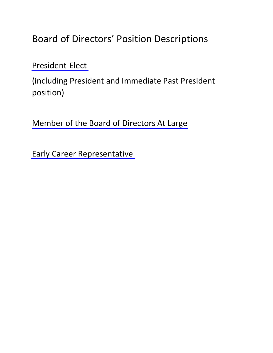Board of Directors' Position Descriptions

[President-Elect](#page-1-0) 

(including President and Immediate Past President position)

[Member of the Board of Directors At Large](#page-7-0)

[Early Career Representative](#page-7-0)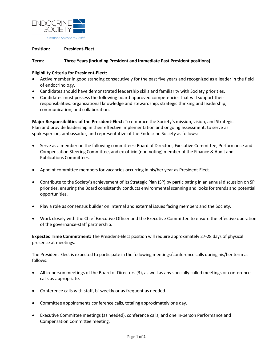<span id="page-1-0"></span>

# **Position: President-Elect**

### **Term**: **Three Years (including President and Immediate Past President positions)**

### **Eligibility Criteria for President-Elect:**

- Active member in good standing consecutively for the past five years and recognized as a leader in the field of endocrinology.
- Candidates should have demonstrated leadership skills and familiarity with Society priorities.
- Candidates must possess the following board-approved competencies that will support their responsibilities: organizational knowledge and stewardship; strategic thinking and leadership; communication; and collaboration.

**Major Responsibilities of the President-Elect:** To embrace the Society's mission, vision, and Strategic Plan and provide leadership in their effective implementation and ongoing assessment; to serve as spokesperson, ambassador, and representative of the Endocrine Society as follows:

- Serve as a member on the following committees: Board of Directors, Executive Committee, Performance and Compensation Steering Committee, and ex-officio (non-voting) member of the Finance & Audit and Publications Committees.
- Appoint committee members for vacancies occurring in his/her year as President-Elect.
- Contribute to the Society's achievement of its Strategic Plan (SP) by participating in an annual discussion on SP priorities, ensuring the Board consistently conducts environmental scanning and looks for trends and potential opportunities.
- Play a role as consensus builder on internal and external issues facing members and the Society.
- Work closely with the Chief Executive Officer and the Executive Committee to ensure the effective operation of the governance-staff partnership.

**Expected Time Commitment:** The President-Elect position will require approximately 27-28 days of physical presence at meetings.

The President-Elect is expected to participate in the following meetings/conference calls during his/her term as follows:

- All in-person meetings of the Board of Directors (3), as well as any specially called meetings or conference calls as appropriate.
- Conference calls with staff, bi-weekly or as frequent as needed.
- Committee appointments conference calls, totaling approximately one day.
- Executive Committee meetings (as needed), conference calls, and one in-person Performance and Compensation Committee meeting.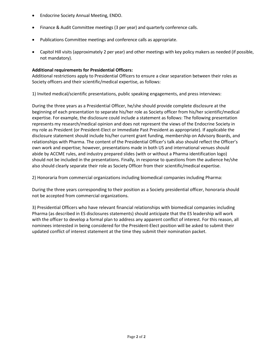- Endocrine Society Annual Meeting, ENDO.
- Finance & Audit Committee meetings (3 per year) and quarterly conference calls.
- Publications Committee meetings and conference calls as appropriate.
- Capitol Hill visits (approximately 2 per year) and other meetings with key policy makers as needed (if possible, not mandatory).

# **Additional requirements for Presidential Officers:**

Additional restrictions apply to Presidential Officers to ensure a clear separation between their roles as Society officers and their scientific/medical expertise, as follows:

1) Invited medical/scientific presentations, public speaking engagements, and press interviews:

During the three years as a Presidential Officer, he/she should provide complete disclosure at the beginning of each presentation to separate his/her role as Society officer from his/her scientific/medical expertise. For example, the disclosure could include a statement as follows: The following presentation represents my research/medical opinion and does not represent the views of the Endocrine Society in my role as President (or President-Elect or Immediate Past President as appropriate). If applicable the disclosure statement should include his/her current grant funding, membership on Advisory Boards, and relationships with Pharma. The content of the Presidential Officer's talk also should reflect the Officer's own work and expertise; however, presentations made in both US and international venues should abide by ACCME rules, and industry prepared slides (with or without a Pharma identification logo) should not be included in the presentations. Finally, in response to questions from the audience he/she also should clearly separate their role as Society Officer from their scientific/medical expertise.

2) Honoraria from commercial organizations including biomedical companies including Pharma:

During the three years corresponding to their position as a Society presidential officer, honoraria should not be accepted from commercial organizations.

3) Presidential Officers who have relevant financial relationships with biomedical companies including Pharma (as described in ES disclosures statements) should anticipate that the ES leadership will work with the officer to develop a formal plan to address any apparent conflict of interest. For this reason, all nominees interested in being considered for the President-Elect position will be asked to submit their updated conflict of interest statement at the time they submit their nomination packet.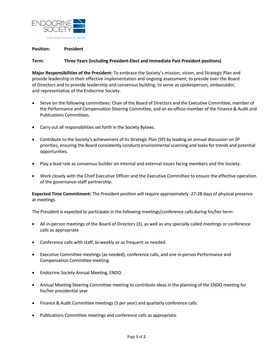

### **Position: President**

# **Term**: **Three Years (including President-Elect and Immediate Past President positions)**

**Major Responsibilities of the President:** To embrace the Society's mission, vision, and Strategic Plan and provide leadership in their effective implementation and ongoing assessment; to preside over the Board of Directors and to provide leadership and consensus building; to serve as spokesperson, ambassador, and representative of the Endocrine Society.

- Serve on the following committees: Chair of the Board of Directors and the Executive Committee, member of the Performance and Compensation Steering Committee, and an ex-officio member of the Finance & Audit and Publications Committees.
- Carry out all responsibilities set forth in the Society Bylaws.
- Contribute to the Society's achievement of its Strategic Plan (SP) by leading an annual discussion on SP priorities, ensuring the Board consistently conducts environmental scanning and looks for trends and potential opportunities.
- Play a lead role as consensus builder on internal and external issues facing members and the Society.
- Work closely with the Chief Executive Officer and the Executive Committee to ensure the effective operation of the governance-staff partnership.

**Expected Time Commitment:** The President position will require approximately -27-28 days of physical presence at meetings.

The President is expected to participate in the following meetings/conference calls during his/her term:

- All in-person meetings of the Board of Directors (3), as well as any specially called meetings or conference calls as appropriate
- Conference calls with staff, bi-weekly or as frequent as needed.
- Executive Committee meetings (as needed), conference calls, and one in-person Performance and Compensation Committee meeting.
- Endocrine Society Annual Meeting, ENDO.
- Annual Meeting Steering Committee meeting to contribute ideas in the planning of the ENDO meeting for his/her presidential year
- Finance & Audit Committee meetings (3 per year) and quarterly conference calls.
- Publications Committee meetings and conference calls as appropriate.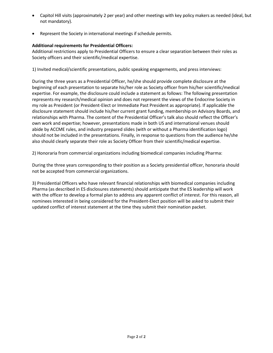- Capitol Hill visits (approximately 2 per year) and other meetings with key policy makers as needed (ideal, but not mandatory).
- Represent the Society in international meetings if schedule permits.

# **Additional requirements for Presidential Officers:**

Additional restrictions apply to Presidential Officers to ensure a clear separation between their roles as Society officers and their scientific/medical expertise.

1) Invited medical/scientific presentations, public speaking engagements, and press interviews:

During the three years as a Presidential Officer, he/she should provide complete disclosure at the beginning of each presentation to separate his/her role as Society officer from his/her scientific/medical expertise. For example, the disclosure could include a statement as follows: The following presentation represents my research/medical opinion and does not represent the views of the Endocrine Society in my role as President (or President-Elect or Immediate Past President as appropriate). If applicable the disclosure statement should include his/her current grant funding, membership on Advisory Boards, and relationships with Pharma. The content of the Presidential Officer's talk also should reflect the Officer's own work and expertise; however, presentations made in both US and international venues should abide by ACCME rules, and industry prepared slides (with or without a Pharma identification logo) should not be included in the presentations. Finally, in response to questions from the audience he/she also should clearly separate their role as Society Officer from their scientific/medical expertise.

2) Honoraria from commercial organizations including biomedical companies including Pharma:

During the three years corresponding to their position as a Society presidential officer, honoraria should not be accepted from commercial organizations.

3) Presidential Officers who have relevant financial relationships with biomedical companies including Pharma (as described in ES disclosures statements) should anticipate that the ES leadership will work with the officer to develop a formal plan to address any apparent conflict of interest. For this reason, all nominees interested in being considered for the President-Elect position will be asked to submit their updated conflict of interest statement at the time they submit their nomination packet.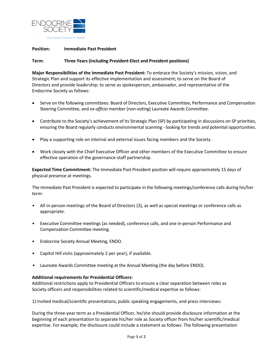

# **Position: Immediate Past President**

### **Term**: **Three Years (including President-Elect and President positions)**

**Major Responsibilities of the Immediate Past President:** To embrace the Society's mission, vision, and Strategic Plan and support its effective implementation and assessment; to serve on the Board of Directors and provide leadership; to serve as spokesperson, ambassador, and representative of the Endocrine Society as follows:

- Serve on the following committees: Board of Directors, Executive Committee, Performance and Compensation Steering Committee, and *ex-officio* member (non-voting) Laureate Awards Committee.
- Contribute to the Society's achievement of its Strategic Plan (SP) by participating in discussions on SP priorities, ensuring the Board regularly conducts environmental scanning - looking for trends and potential opportunities.
- Play a supporting role on internal and external issues facing members and the Society.
- Work closely with the Chief Executive Officer and other members of the Executive Committee to ensure effective operation of the governance-staff partnership.

**Expected Time Commitment:** The Immediate Past President position will require approximately 15 days of physical presence at meetings.

The Immediate Past President is expected to participate in the following meetings/conference calls during his/her term:

- All in-person meetings of the Board of Directors (3), as well as special meetings or conference calls as appropriate.
- Executive Committee meetings (as needed), conference calls, and one in-person Performance and Compensation Committee meeting.
- Endocrine Society Annual Meeting, ENDO.
- Capitol Hill visits (approximately 2 per year), if available.
- Laureate Awards Committee meeting at the Annual Meeting (the day before ENDO).

#### **Additional requirements for Presidential Officers:**

Additional restrictions apply to Presidential Officers to ensure a clear separation between roles as Society officers and responsibilities related to scientific/medical expertise as follows:

1) Invited medical/scientific presentations, public speaking engagements, and press interviews:

During the three-year term as a Presidential Officer, he/she should provide disclosure information at the beginning of each presentation to separate his/her role as Society officer from his/her scientific/medical expertise. For example, the disclosure could include a statement as follows: The following presentation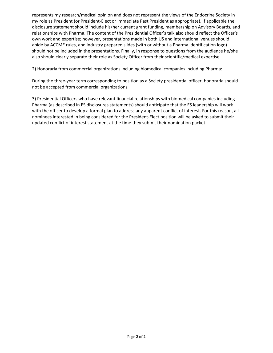represents my research/medical opinion and does not represent the views of the Endocrine Society in my role as President (or President-Elect or Immediate Past President as appropriate). If applicable the disclosure statement should include his/her current grant funding, membership on Advisory Boards, and relationships with Pharma. The content of the Presidential Officer's talk also should reflect the Officer's own work and expertise; however, presentations made in both US and international venues should abide by ACCME rules, and industry prepared slides (with or without a Pharma identification logo) should not be included in the presentations. Finally, in response to questions from the audience he/she also should clearly separate their role as Society Officer from their scientific/medical expertise.

2) Honoraria from commercial organizations including biomedical companies including Pharma:

During the three-year term corresponding to position as a Society presidential officer, honoraria should not be accepted from commercial organizations.

3) Presidential Officers who have relevant financial relationships with biomedical companies including Pharma (as described in ES disclosures statements) should anticipate that the ES leadership will work with the officer to develop a formal plan to address any apparent conflict of interest. For this reason, all nominees interested in being considered for the President-Elect position will be asked to submit their updated conflict of interest statement at the time they submit their nomination packet.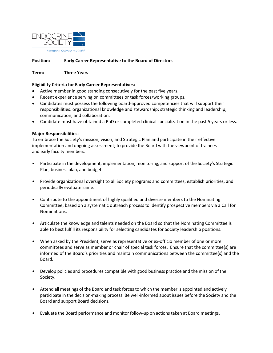<span id="page-7-0"></span>

### **Position: Early Career Representative to the Board of Directors**

**Term: Three Years**

### **Eligibility Criteria for Early Career Representatives:**

- Active member in good standing consecutively for the past five years.
- Recent experience serving on committees or task forces/working groups.
- Candidates must possess the following board-approved competencies that will support their responsibilities: organizational knowledge and stewardship; strategic thinking and leadership; communication; and collaboration.
- Candidate must have obtained a PhD or completed clinical specialization in the past 5 years or less.

#### **Major Responsibilities:**

To embrace the Society's mission, vision, and Strategic Plan and participate in their effective implementation and ongoing assessment; to provide the Board with the viewpoint of trainees and early faculty members.

- Participate in the development, implementation, monitoring, and support of the Society's Strategic Plan, business plan, and budget.
- Provide organizational oversight to all Society programs and committees, establish priorities, and periodically evaluate same.
- Contribute to the appointment of highly qualified and diverse members to the Nominating Committee, based on a systematic outreach process to identify prospective members via a Call for Nominations.
- Articulate the knowledge and talents needed on the Board so that the Nominating Committee is able to best fulfill its responsibility for selecting candidates for Society leadership positions.
- When asked by the President, serve as representative or ex-officio member of one or more committees and serve as member or chair of special task forces. Ensure that the committee(s) are informed of the Board's priorities and maintain communications between the committee(s) and the Board.
- Develop policies and procedures compatible with good business practice and the mission of the Society.
- Attend all meetings of the Board and task forces to which the member is appointed and actively participate in the decision-making process. Be well-informed about issues before the Society and the Board and support Board decisions.
- Evaluate the Board performance and monitor follow-up on actions taken at Board meetings.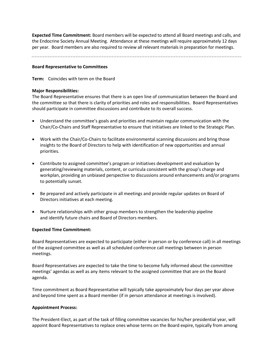**Expected Time Commitment:** Board members will be expected to attend all Board meetings and calls, and the Endocrine Society Annual Meeting. Attendance at these meetings will require approximately 12 days per year. Board members are also required to review all relevant materials in preparation for meetings.

#### **Board Representative to Committees**

**Term:** Coincides with term on the Board

### **Major Responsibilities:**

The Board Representative ensures that there is an open line of communication between the Board and the committee so that there is clarity of priorities and roles and responsibilities. Board Representatives should participate in committee discussions and contribute to its overall success.

- Understand the committee's goals and priorities and maintain regular communication with the Chair/Co-Chairs and Staff Representative to ensure that initiatives are linked to the Strategic Plan.
- Work with the Chair/Co-Chairs to facilitate environmental scanning discussions and bring those insights to the Board of Directors to help with identification of new opportunities and annual priorities.
- Contribute to assigned committee's program or initiatives development and evaluation by generating/reviewing materials, content, or curricula consistent with the group's charge and workplan, providing an unbiased perspective to discussions around enhancements and/or programs to potentially sunset.
- Be prepared and actively participate in all meetings and provide regular updates on Board of Directors initiatives at each meeting.
- Nurture relationships with other group members to strengthen the leadership pipeline and identify future chairs and Board of Directors members.

#### **Expected Time Commitment:**

Board Representatives are expected to participate (either in person or by conference call) in all meetings of the assigned committee as well as all scheduled conference call meetings between in person meetings.

Board Representatives are expected to take the time to become fully informed about the committee meetings' agendas as well as any items relevant to the assigned committee that are on the Board agenda.

Time commitment as Board Representative will typically take approximately four days per year above and beyond time spent as a Board member (if in person attendance at meetings is involved).

# **Appointment Process:**

The President-Elect, as part of the task of filling committee vacancies for his/her presidential year, will appoint Board Representatives to replace ones whose terms on the Board expire, typically from among